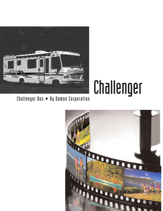

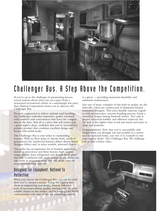

## Challenger Bus. A Step Above the Competition.

If you're up to the challenge of questioning preconceived notions about what you can expect from a motorized recreational vehicle at a surprisingly low price, then Damon Corporation invites you to discover the Challenger Bus.

Precisely engineered to deliver optimal road handling, the Challenger embodies impressive quality standards with comforts and conveniences that leave the competition in the dust. And all at a price that will ensure you a good night's sleep, confident that you've invested in a premier product that combines excellent design and layout with stylish looks.

The Challenger Bus is your ticket to outstanding features. With six floor plans to choose from, you'll be guaranteed rich, hardwood-framed cabinet doors, stylish designer fabrics and, in select models, mirrored closets.

The galley has an impressive list of modern appliances, including microwave and three-burner, high-output range, double-door refrigerator and double-bowl porcelain sink. Combined with ample storage space, cooks can take pride in preparing meals that will satisfy even the most discriminating appetite.

## Designed For Enjoyment. Refined To Perfection.

When you choose the Challenger Bus, you can be confident you've chosen a winner. Using the highest standards in engineering and design, Damon follows a path of uncompromising quality, starting with the most reliable chassis on the market. and by forging Old World craftsmanship with state-of-the-art technology, quality

is a given — providing maximum durability and minimum maintenance.

Just one of many examples of this built-in quality are the sidewalls, which are constructed of aluminum-framed laminated fiberglass. This extra-durable material, together with an innovative vacuum-bonding process, forms a smoother, longer-lasting hardwall surface. Not only is greater structural stability and adhesion achieved, but the wall is also lighter than wood and metal and easier to clean and maintain.

Congratulations! Now that you've successfully challenged what you thought was not possible in a motorized recreational home, you owe it to yourself to visit your nearest dealer. The Challenger Bus. We challenge you to find a better value.

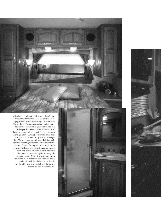(Top Left) Cook, eat, read, relax – there's room for every activity in the Challenger Bus. Wellequipped kitchen makes eating in fun and easy. (Lower Left) The destination isn't half as enjoyable as the journey when you're traveling in a Challenger Bus. Sleek one-piece molded dashboard and super-plush captain's chair mean the driving is easy. (Above) Your own private hotel always has your room ready in the Challenger Bus. Wa rm cabinetry and pretty lighting highlight the matching bedspread and window treatments. (Center) An elegant bath completes the picture. The hardwood-framed medicine cabinet with mirror and spacious cabinet under the sink provide convenient, private storage for personal items. (Right) Cruise in style inside and out in the Challenger Bus. Pictured here is model 296 with TidalWave decor. Sturdy, comfortable furniture and plenty of overhead storage lets you pack in the fun.



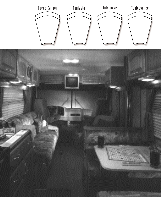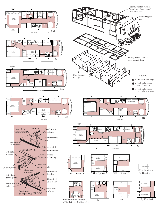